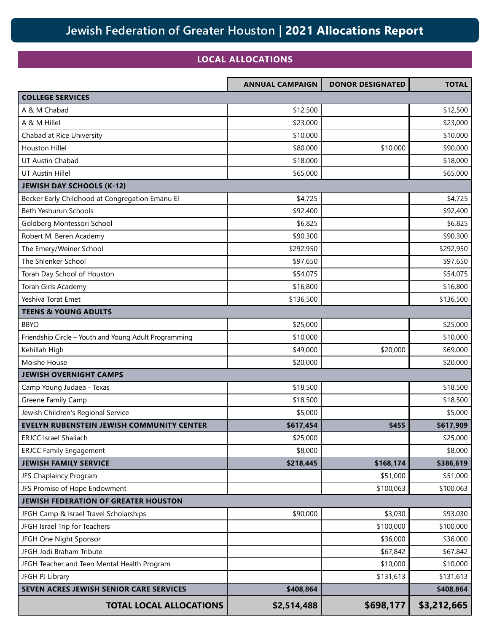## **Jewish Federation of Greater Houston | 2021 Allocations Report**

## **LOCAL ALLOCATIONS**

|                                                       | <b>ANNUAL CAMPAIGN</b> | <b>DONOR DESIGNATED</b> | <b>TOTAL</b> |
|-------------------------------------------------------|------------------------|-------------------------|--------------|
| <b>COLLEGE SERVICES</b>                               |                        |                         |              |
| A & M Chabad                                          | \$12,500               |                         | \$12,500     |
| A & M Hillel                                          | \$23,000               |                         | \$23,000     |
| Chabad at Rice University                             | \$10,000               |                         | \$10,000     |
| <b>Houston Hillel</b>                                 | \$80,000               | \$10,000                | \$90,000     |
| UT Austin Chabad                                      | \$18,000               |                         | \$18,000     |
| <b>UT Austin Hillel</b>                               | \$65,000               |                         | \$65,000     |
| <b>JEWISH DAY SCHOOLS (K-12)</b>                      |                        |                         |              |
| Becker Early Childhood at Congregation Emanu El       | \$4,725                |                         | \$4,725      |
| Beth Yeshurun Schools                                 | \$92,400               |                         | \$92,400     |
| Goldberg Montessori School                            | \$6,825                |                         | \$6,825      |
| Robert M. Beren Academy                               | \$90,300               |                         | \$90,300     |
| The Emery/Weiner School                               | \$292,950              |                         | \$292,950    |
| The Shlenker School                                   | \$97,650               |                         | \$97,650     |
| Torah Day School of Houston                           | \$54,075               |                         | \$54,075     |
| Torah Girls Academy                                   | \$16,800               |                         | \$16,800     |
| Yeshiva Torat Emet                                    | \$136,500              |                         | \$136,500    |
| <b>TEENS &amp; YOUNG ADULTS</b>                       |                        |                         |              |
| <b>BBYO</b>                                           | \$25,000               |                         | \$25,000     |
| Friendship Circle - Youth and Young Adult Programming | \$10,000               |                         | \$10,000     |
| Kehillah High                                         | \$49,000               | \$20,000                | \$69,000     |
| Moishe House                                          | \$20,000               |                         | \$20,000     |
| <b>JEWISH OVERNIGHT CAMPS</b>                         |                        |                         |              |
| Camp Young Judaea - Texas                             | \$18,500               |                         | \$18,500     |
| Greene Family Camp                                    | \$18,500               |                         | \$18,500     |
| Jewish Children's Regional Service                    | \$5,000                |                         | \$5,000      |
| EVELYN RUBENSTEIN JEWISH COMMUNITY CENTER             | \$617,454              | \$455                   | \$617,909    |
| <b>ERJCC Israel Shaliach</b>                          | \$25,000               |                         | \$25,000     |
| <b>ERJCC Family Engagement</b>                        | \$8,000                |                         | \$8,000      |
| <b>JEWISH FAMILY SERVICE</b>                          | \$218,445              | \$168,174               | \$386,619    |
| JFS Chaplaincy Program                                |                        | \$51,000                | \$51,000     |
| JFS Promise of Hope Endowment                         |                        | \$100,063               | \$100,063    |
| JEWISH FEDERATION OF GREATER HOUSTON                  |                        |                         |              |
| JFGH Camp & Israel Travel Scholarships                | \$90,000               | \$3,030                 | \$93,030     |
| JFGH Israel Trip for Teachers                         |                        | \$100,000               | \$100,000    |
| JFGH One Night Sponsor                                |                        | \$36,000                | \$36,000     |
| JFGH Jodi Braham Tribute                              |                        | \$67,842                | \$67,842     |
| JFGH Teacher and Teen Mental Health Program           |                        | \$10,000                | \$10,000     |
| JFGH PJ Library                                       |                        | \$131,613               | \$131,613    |
| SEVEN ACRES JEWISH SENIOR CARE SERVICES               | \$408,864              |                         | \$408,864    |
| <b>TOTAL LOCAL ALLOCATIONS</b>                        | \$2,514,488            | \$698,177               | \$3,212,665  |